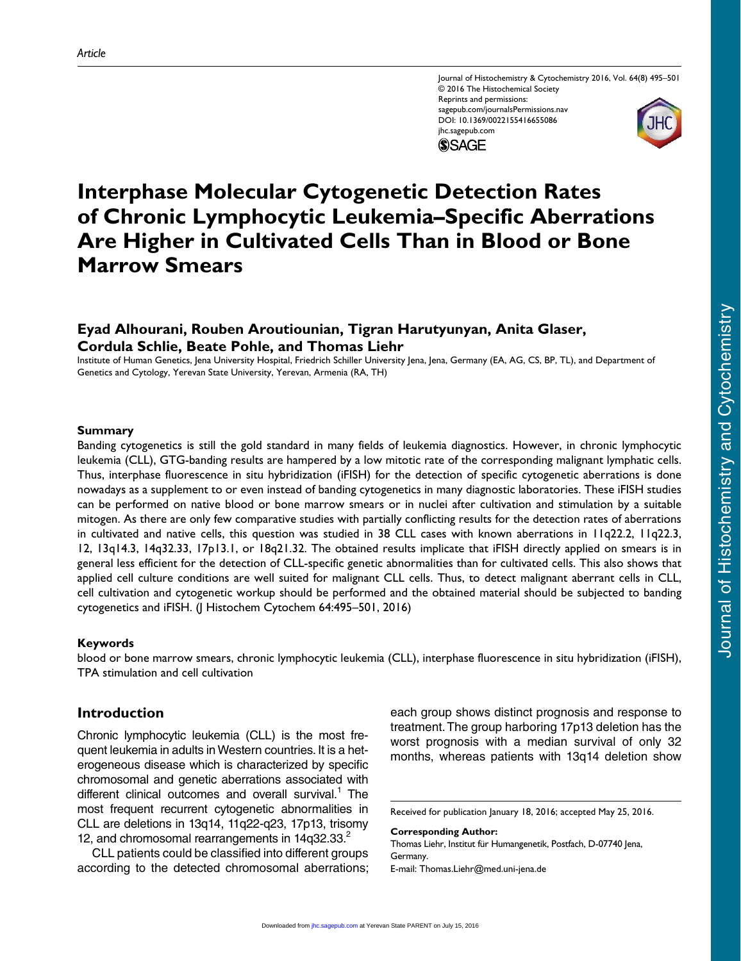Journal of Histochemistry & Cytochemistry 2016, Vol. 64(8) 495–501 © 2016 The Histochemical Society Reprints and permissions: sagepub.com/journalsPermissions.nav DOI: 10.1369/0022155416655086 jhc.sagepub.com **SSAGE** 



# **Eyad Alhourani, Rouben Aroutiounian, Tigran Harutyunyan, Anita Glaser, Cordula Schlie, Beate Pohle, and Thomas Liehr**

Institute of Human Genetics, Jena University Hospital, Friedrich Schiller University Jena, Jena, Germany (EA, AG, CS, BP, TL), and Department of Genetics and Cytology, Yerevan State University, Yerevan, Armenia (RA, TH)

#### **Summary**

Banding cytogenetics is still the gold standard in many fields of leukemia diagnostics. However, in chronic lymphocytic leukemia (CLL), GTG-banding results are hampered by a low mitotic rate of the corresponding malignant lymphatic cells. Thus, interphase fluorescence in situ hybridization (iFISH) for the detection of specific cytogenetic aberrations is done nowadays as a supplement to or even instead of banding cytogenetics in many diagnostic laboratories. These iFISH studies can be performed on native blood or bone marrow smears or in nuclei after cultivation and stimulation by a suitable mitogen. As there are only few comparative studies with partially conflicting results for the detection rates of aberrations in cultivated and native cells, this question was studied in 38 CLL cases with known aberrations in 11q22.2, 11q22.3, 12, 13q14.3, 14q32.33, 17p13.1, or 18q21.32. The obtained results implicate that iFISH directly applied on smears is in general less efficient for the detection of CLL-specific genetic abnormalities than for cultivated cells. This also shows that applied cell culture conditions are well suited for malignant CLL cells. Thus, to detect malignant aberrant cells in CLL, cell cultivation and cytogenetic workup should be performed and the obtained material should be subjected to banding cytogenetics and iFISH. (J Histochem Cytochem 64:495–501, 2016)

#### **Keywords**

blood or bone marrow smears, chronic lymphocytic leukemia (CLL), interphase fluorescence in situ hybridization (iFISH), TPA stimulation and cell cultivation

# **Introduction**

Chronic lymphocytic leukemia (CLL) is the most frequent leukemia in adults in Western countries. It is a heterogeneous disease which is characterized by specific chromosomal and genetic aberrations associated with different clinical outcomes and overall survival.<sup>1</sup> The most frequent recurrent cytogenetic abnormalities in CLL are deletions in 13q14, 11q22-q23, 17p13, trisomy 12, and chromosomal rearrangements in  $14q32.33<sup>2</sup>$ 

CLL patients could be classified into different groups according to the detected chromosomal aberrations; each group shows distinct prognosis and response to treatment. The group harboring 17p13 deletion has the worst prognosis with a median survival of only 32 months, whereas patients with 13q14 deletion show

Received for publication January 18, 2016; accepted May 25, 2016.

#### **Corresponding Author:**

Thomas Liehr, Institut für Humangenetik, Postfach, D-07740 Jena, Germany. E-mail: [Thomas.Liehr@med.uni-jena.de](mailto:Thomas.Liehr@med.uni-jena.de)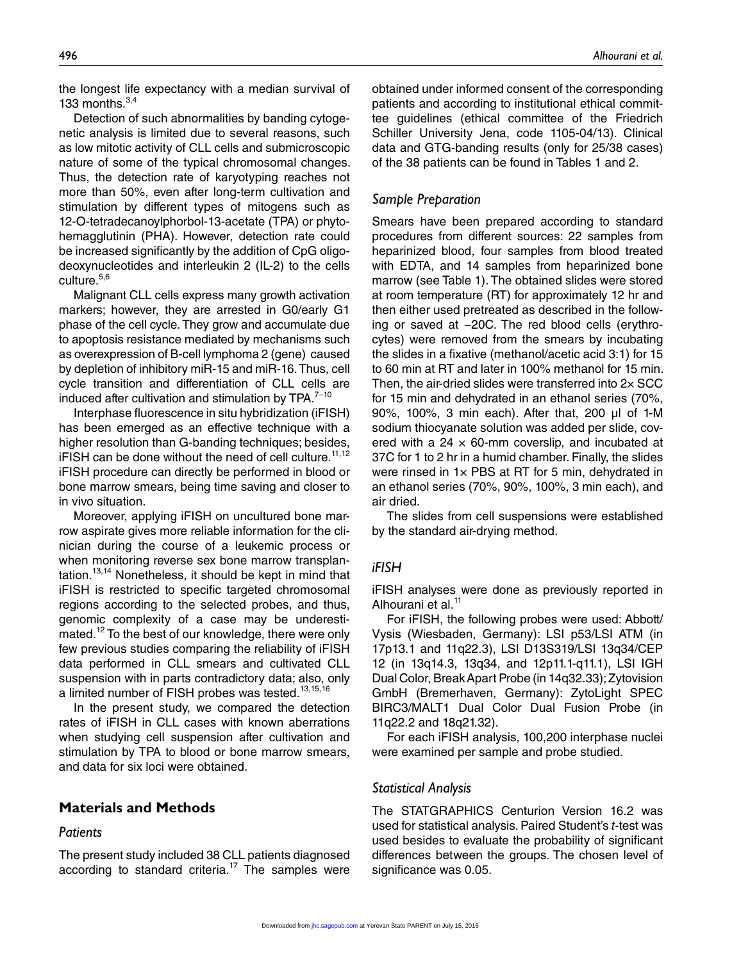the longest life expectancy with a median survival of 133 months. $3,4$ 

Detection of such abnormalities by banding cytogenetic analysis is limited due to several reasons, such as low mitotic activity of CLL cells and submicroscopic nature of some of the typical chromosomal changes. Thus, the detection rate of karyotyping reaches not more than 50%, even after long-term cultivation and stimulation by different types of mitogens such as 12-O-tetradecanoylphorbol-13-acetate (TPA) or phytohemagglutinin (PHA). However, detection rate could be increased significantly by the addition of CpG oligodeoxynucleotides and interleukin 2 (IL-2) to the cells culture.<sup>5,6</sup>

Malignant CLL cells express many growth activation markers; however, they are arrested in G0/early G1 phase of the cell cycle. They grow and accumulate due to apoptosis resistance mediated by mechanisms such as overexpression of B-cell lymphoma 2 (gene) caused by depletion of inhibitory miR-15 and miR-16. Thus, cell cycle transition and differentiation of CLL cells are induced after cultivation and stimulation by  $TPA.<sup>7-10</sup>$ 

Interphase fluorescence in situ hybridization (iFISH) has been emerged as an effective technique with a higher resolution than G-banding techniques; besides,  $i$  FISH can be done without the need of cell culture.<sup>11,12</sup> iFISH procedure can directly be performed in blood or bone marrow smears, being time saving and closer to in vivo situation.

Moreover, applying iFISH on uncultured bone marrow aspirate gives more reliable information for the clinician during the course of a leukemic process or when monitoring reverse sex bone marrow transplantation.<sup>13,14</sup> Nonetheless, it should be kept in mind that iFISH is restricted to specific targeted chromosomal regions according to the selected probes, and thus, genomic complexity of a case may be underestimated.<sup>12</sup> To the best of our knowledge, there were only few previous studies comparing the reliability of iFISH data performed in CLL smears and cultivated CLL suspension with in parts contradictory data; also, only a limited number of FISH probes was tested.<sup>13,15,16</sup>

In the present study, we compared the detection rates of iFISH in CLL cases with known aberrations when studying cell suspension after cultivation and stimulation by TPA to blood or bone marrow smears, and data for six loci were obtained.

# **Materials and Methods**

### *Patients*

The present study included 38 CLL patients diagnosed according to standard criteria.<sup>17</sup> The samples were obtained under informed consent of the corresponding patients and according to institutional ethical committee guidelines (ethical committee of the Friedrich Schiller University Jena, code 1105-04/13). Clinical data and GTG-banding results (only for 25/38 cases) of the 38 patients can be found in Tables 1 and 2.

### *Sample Preparation*

Smears have been prepared according to standard procedures from different sources: 22 samples from heparinized blood, four samples from blood treated with EDTA, and 14 samples from heparinized bone marrow (see Table 1). The obtained slides were stored at room temperature (RT) for approximately 12 hr and then either used pretreated as described in the following or saved at −20C. The red blood cells (erythrocytes) were removed from the smears by incubating the slides in a fixative (methanol/acetic acid 3:1) for 15 to 60 min at RT and later in 100% methanol for 15 min. Then, the air-dried slides were transferred into 2× SCC for 15 min and dehydrated in an ethanol series (70%, 90%, 100%, 3 min each). After that, 200 µl of 1-M sodium thiocyanate solution was added per slide, covered with a 24  $\times$  60-mm coverslip, and incubated at 37C for 1 to 2 hr in a humid chamber. Finally, the slides were rinsed in  $1 \times PBS$  at RT for 5 min, dehydrated in an ethanol series (70%, 90%, 100%, 3 min each), and air dried.

The slides from cell suspensions were established by the standard air-drying method.

# *iFISH*

iFISH analyses were done as previously reported in Alhourani et al. $<sup>11</sup>$ </sup>

For iFISH, the following probes were used: Abbott/ Vysis (Wiesbaden, Germany): LSI p53/LSI ATM (in 17p13.1 and 11q22.3), LSI D13S319/LSI 13q34/CEP 12 (in 13q14.3, 13q34, and 12p11.1-q11.1), LSI IGH Dual Color, Break Apart Probe (in 14q32.33); Zytovision GmbH (Bremerhaven, Germany): ZytoLight SPEC BIRC3/MALT1 Dual Color Dual Fusion Probe (in 11q22.2 and 18q21.32).

For each iFISH analysis, 100,200 interphase nuclei were examined per sample and probe studied.

# *Statistical Analysis*

The STATGRAPHICS Centurion Version 16.2 was used for statistical analysis. Paired Student's *t*-test was used besides to evaluate the probability of significant differences between the groups. The chosen level of significance was 0.05.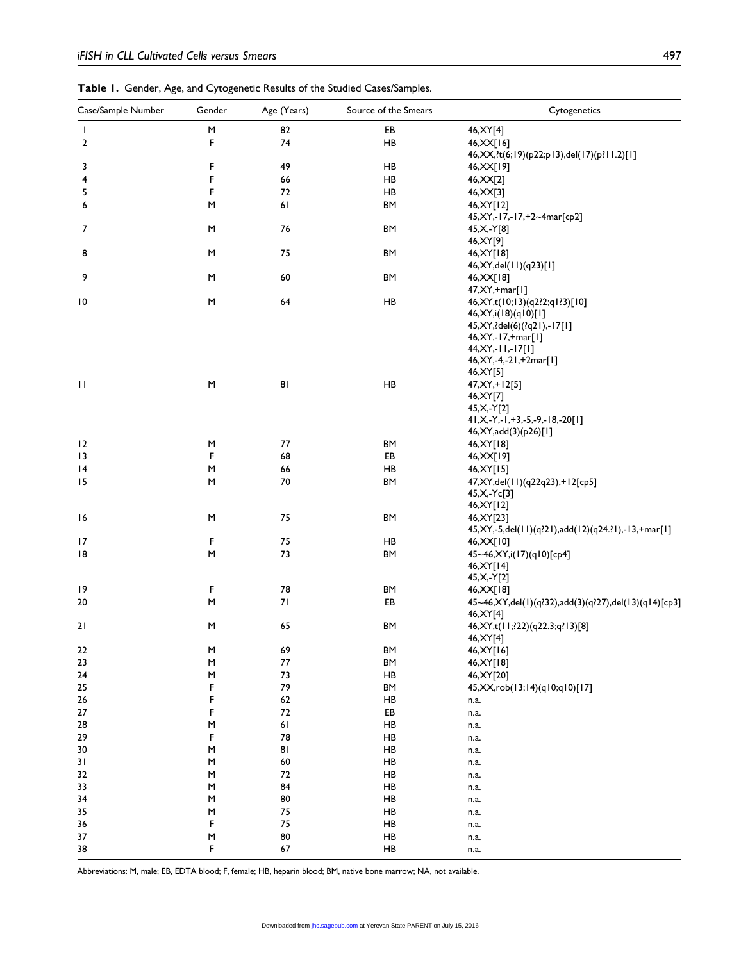| Table 1. Gender, Age, and Cytogenetic Results of the Studied Cases/Samples. |  |
|-----------------------------------------------------------------------------|--|
|-----------------------------------------------------------------------------|--|

| Case/Sample Number | Gender                                                                                                     | Age (Years) | Source of the Smears | Cytogenetics                                                            |
|--------------------|------------------------------------------------------------------------------------------------------------|-------------|----------------------|-------------------------------------------------------------------------|
| $\mathbf{I}$       | $\mathsf{M}% _{T}=\mathsf{M}_{T}\!\left( a,b\right) ,\ \mathsf{M}_{T}=\mathsf{M}_{T}\!\left( a,b\right) ,$ | 82          | EB                   | 46, XY[4]                                                               |
| 2                  | F                                                                                                          | 74          | HB                   | 46, XX[16]                                                              |
|                    |                                                                                                            |             |                      | 46, XX, ?t(6; 19)(p22; p13), del(17)(p?11.2)[1]                         |
| 3                  | F                                                                                                          | 49          | HB                   | 46, XX[19]                                                              |
| 4                  | F                                                                                                          | 66          | HB                   | 46, XX[2]                                                               |
| 5                  | F                                                                                                          | 72          | HB                   | 46, XX[3]                                                               |
| 6                  | М                                                                                                          | 61          | ΒM                   | 46, XY [12]                                                             |
|                    |                                                                                                            |             |                      | 45, XY, - 17, - 17, +2~4 mar [cp2]                                      |
| 7                  | M                                                                                                          | 76          | <b>BM</b>            | 45, X, - Y[8]<br>46, XY[9]                                              |
| 8                  | М                                                                                                          | 75          | <b>BM</b>            | 46, XY[18]                                                              |
|                    |                                                                                                            |             |                      | 46, XY, del(11)(q23)[1]                                                 |
| 9                  | M                                                                                                          | 60          | <b>BM</b>            | 46, XX[18]                                                              |
|                    |                                                                                                            |             |                      | 47, XY, + mar[1]                                                        |
| 10                 | М                                                                                                          | 64          | HB                   | 46, XY, t(10; 13)(q2?2; q 1?3)[10]                                      |
|                    |                                                                                                            |             |                      | 46, XY, i(18)(q10)[1]                                                   |
|                    |                                                                                                            |             |                      | 45, XY, ? del(6)(? q 2 l), - 17[1]                                      |
|                    |                                                                                                            |             |                      | 46, XY, - 17, + mar[1]                                                  |
|                    |                                                                                                            |             |                      | 44, XY, - 11, - 17[1]                                                   |
|                    |                                                                                                            |             |                      | 46, XY, -4, -21, +2mar[1]<br>46, XY[5]                                  |
| $\mathbf{H}$       | M                                                                                                          | 81          | HB                   | 47, XY, +12[5]                                                          |
|                    |                                                                                                            |             |                      | 46, XY [7]                                                              |
|                    |                                                                                                            |             |                      | 45, X, - Y[2]                                                           |
|                    |                                                                                                            |             |                      | $41, X, -Y, -1, +3, -5, -9, -18, -20[1]$                                |
|                    |                                                                                                            |             |                      | 46, XY, add(3)(p26)[1]                                                  |
| $\overline{2}$     | M                                                                                                          | 77          | BM                   | 46, XY[18]                                                              |
| 13                 | F                                                                                                          | 68          | EB                   | 46, XX[19]                                                              |
| 4                  | M                                                                                                          | 66          | HB                   | 46, XY[15]                                                              |
| 15                 | М                                                                                                          | 70          | BM                   | 47, XY, del(11)(q22q23), +12[cp5]                                       |
|                    |                                                                                                            |             |                      | $45, X, -Yc[3]$                                                         |
|                    |                                                                                                            |             |                      | 46, XY [12]                                                             |
| 16                 | M                                                                                                          | 75          | BM                   | 46, XY [23]<br>45, XY, -5, del(11)(q?21), add(12)(q24.?1), -13, +mar[1] |
| 17                 | F                                                                                                          | 75          | HB                   | 46, XX[10]                                                              |
| 18                 | M                                                                                                          | 73          | <b>BM</b>            | 45~46, XY, i(17)(q10)[cp4]                                              |
|                    |                                                                                                            |             |                      | 46, XY [14]                                                             |
|                    |                                                                                                            |             |                      | 45, X, - Y[2]                                                           |
| 19                 | F                                                                                                          | 78          | BM                   | 46, XX[18]                                                              |
| 20                 | М                                                                                                          | 71          | EB                   | 45~46, XY, del(1)(q?32), add(3)(q?27), del(13)(q14)[cp3]                |
|                    |                                                                                                            |             |                      | 46, XY[4]                                                               |
| 21                 | M                                                                                                          | 65          | BM                   | 46, XY, t(11; ? 22) (q22.3; q? 13) [8]                                  |
|                    |                                                                                                            |             |                      | 46, XY[4]                                                               |
| 22                 | M                                                                                                          | 69          | BM                   | 46, XY [16]                                                             |
| 23                 | M                                                                                                          | 77          | BM                   | 46, XY[18]                                                              |
| 24                 | M<br>F                                                                                                     | 73<br>79    | HB                   | 46, XY[20]<br>45, XX, rob(13; 14) (q10; q10) [17]                       |
| 25<br>${\bf 26}$   | F                                                                                                          | 62          | BM<br>HB             |                                                                         |
| 27                 | F                                                                                                          | 72          | EB                   | n.a.<br>n.a.                                                            |
| 28                 | M                                                                                                          | $61$        | HB                   | n.a.                                                                    |
| 29                 | F                                                                                                          | 78          | HB                   | n.a.                                                                    |
| 30                 | M                                                                                                          | 81          | HB                   | n.a.                                                                    |
| 31                 | M                                                                                                          | 60          | HB                   | n.a.                                                                    |
| 32                 | M                                                                                                          | 72          | HB                   | n.a.                                                                    |
| 33                 | M                                                                                                          | 84          | HB                   | n.a.                                                                    |
| 34                 | M                                                                                                          | 80          | HB                   | n.a.                                                                    |
| 35                 | M                                                                                                          | 75          | HB                   | n.a.                                                                    |
| 36                 | F                                                                                                          | 75          | HB                   | n.a.                                                                    |
| 37                 | M                                                                                                          | ${\bf 80}$  | HB                   | n.a.                                                                    |
| 38                 | F                                                                                                          | 67          | HB                   | n.a.                                                                    |

Abbreviations: M, male; EB, EDTA blood; F, female; HB, heparin blood; BM, native bone marrow; NA, not available.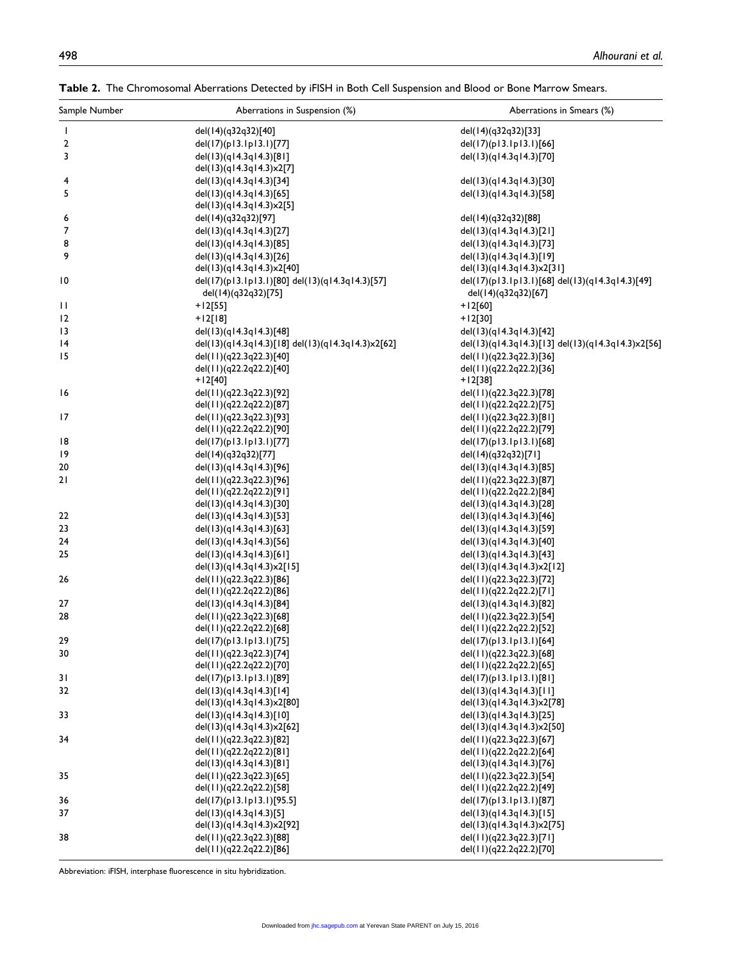| Sample Number            | Aberrations in Suspension (%)                                          | Aberrations in Smears (%)                                              |  |
|--------------------------|------------------------------------------------------------------------|------------------------------------------------------------------------|--|
| $\overline{\phantom{a}}$ | del(14)(q32q32)[40]                                                    | del(14)(q32q32)[33]                                                    |  |
| 2                        | del(17)(p13.1p13.1)[77]                                                | del(17)(p13.1p13.1)[66]                                                |  |
| 3                        | del(13)(q14.3q14.3)[81]                                                | del(13)(q14.3q14.3)[70]                                                |  |
|                          | del(13)(q14.3q14.3)x2[7]                                               |                                                                        |  |
| 4                        | del(13)(q14.3q14.3)[34]                                                | del(13)(q14.3q14.3)[30]                                                |  |
| 5                        | del(13)(q14.3q14.3)[65]                                                | del(13)(q14.3q14.3)[58]                                                |  |
|                          | del(13)(q14.3q14.3)x2[5]                                               |                                                                        |  |
| 6                        | del(14)(q32q32)[97]                                                    | del(14)(q32q32)[88]                                                    |  |
| 7                        | del(13)(q14.3q14.3)[27]                                                | del(13)(q14.3q14.3)[21]                                                |  |
| 8                        | del(13)(q14.3q14.3)[85]                                                | del(13)(q14.3q14.3)[73]                                                |  |
| 9                        | del(13)(q14.3q14.3)[26]                                                | del(13)(q14.3q14.3)[19]                                                |  |
|                          | del(13)(q14.3q14.3)x2[40]                                              | del(13)(q14.3q14.3)x2[31]                                              |  |
| 10                       | del(17)(p13.1p13.1)[80] del(13)(q14.3q14.3)[57]<br>del(14)(q32q32)[75] | del(17)(p13.1p13.1)[68] del(13)(q14.3q14.3)[49]<br>del(14)(q32q32)[67] |  |
| П                        | $+12[55]$                                                              | $+12[60]$                                                              |  |
| 12                       | $+12[18]$                                                              | $+12[30]$                                                              |  |
| 13                       | del(13)(q14.3q14.3)[48]                                                | del(13)(q14.3q14.3)[42]                                                |  |
| 14                       | del(13)(q14.3q14.3)[18] del(13)(q14.3q14.3)x2[62]                      | del(13)(q14.3q14.3)[13] del(13)(q14.3q14.3)x2[56]                      |  |
| 15                       | del(11)(q22.3q22.3)[40]                                                | del(11)(q22.3q22.3)[36]                                                |  |
|                          | del(11)(q22.2q22.2)[40]                                                | del(11)(q22.2q22.2)[36]                                                |  |
|                          | +12[40]                                                                | $+12[38]$                                                              |  |
| 16                       | del(11)(q22.3q22.3)[92]                                                | del(11)(q22.3q22.3)[78]                                                |  |
|                          | del(11)(q22.2q22.2)[87]                                                | del(11)(q22.2q22.2)[75]                                                |  |
| 17                       | del(11)(q22.3q22.3)[93]                                                | del(11)(q22.3q22.3)[81]                                                |  |
|                          | del(11)(q22.2q22.2)[90]                                                | del(11)(q22.2q22.2)[79]                                                |  |
| 18                       | del(17)(p13.1p13.1)[77]                                                | del(17)(p13.1p13.1)[68]                                                |  |
| 19                       | del(14)(q32q32)[77]                                                    | del(14)(q32q32)[71]                                                    |  |
| 20                       | del(13)(q14.3q14.3)[96]                                                | del(13)(q14.3q14.3)[85]                                                |  |
| 2١                       | del(11)(q22.3q22.3)[96]                                                | del(11)(q22.3q22.3)[87]                                                |  |
|                          | del(11)(q22.2q22.2)[91]<br>del(13)(q14.3q14.3)[30]                     | del(11)(q22.2q22.2)[84]<br>del(13)(q14.3q14.3)[28]                     |  |
| 22                       | del(13)(q14.3q14.3)[53]                                                | del(13)(q14.3q14.3)[46]                                                |  |
| 23                       | del(13)(q14.3q14.3)[63]                                                | del(13)(q14.3q14.3)[59]                                                |  |
| 24                       | del(13)(q14.3q14.3)[56]                                                | del(13)(q14.3q14.3)[40]                                                |  |
| 25                       | del(13)(q14.3q14.3)[61]                                                | del(13)(q14.3q14.3)[43]                                                |  |
|                          | del(13)(q14.3q14.3)x2[15]                                              | del(13)(q14.3q14.3)x2[12]                                              |  |
| 26                       | del(11)(q22.3q22.3)[86]                                                | del(11)(q22.3q22.3)[72]                                                |  |
|                          | del(11)(q22.2q22.2)[86]                                                | del(11)(q22.2q22.2)[71]                                                |  |
| 27                       | del(13)(q14.3q14.3)[84]                                                | del(13)(q14.3q14.3)[82]                                                |  |
| 28                       | del(11)(q22.3q22.3)[68]                                                | del(11)(q22.3q22.3)[54]                                                |  |
|                          | del(11)(q22.2q22.2)[68]                                                | del(11)(q22.2q22.2)[52]                                                |  |
| 29                       | del(17)(p13.1p13.1)[75]                                                | del(17)(p13.1p13.1)[64]                                                |  |
| 30                       | del(11)(q22.3q22.3)[74]                                                | del(11)(q22.3q22.3)[68]                                                |  |
|                          | del(11)(q22.2q22.2)[70]                                                | del(11)(q22.2q22.2)[65]                                                |  |
| 31                       | del(17)(p13.1p13.1)[89]                                                | del(17)(p13.1p13.1)[81]                                                |  |
| 32                       | del(13)(q14.3q14.3)[14]                                                | del(13)(q14.3q14.3)[11]                                                |  |
|                          | del(13)(q14.3q14.3)x2[80]                                              | del(13)(q14.3q14.3)x2[78]                                              |  |
| 33                       | del(13)(q14.3q14.3)[10]                                                | del(13)(q14.3q14.3)[25]                                                |  |
|                          | del(13)(q14.3q14.3)x2[62]                                              | del(13)(q14.3q14.3)x2[50]                                              |  |
| 34                       | del(11)(q22.3q22.3)[82]<br>del(11)(q22.2q22.2)[81]                     | del(11)(q22.3q22.3)[67]<br>del(11)(q22.2q22.2)[64]                     |  |
|                          | del(13)(q14.3q14.3)[81]                                                | del(13)(q14.3q14.3)[76]                                                |  |
| 35                       | del(11)(q22.3q22.3)[65]                                                | del(11)(q22.3q22.3)[54]                                                |  |
|                          | del(11)(q22.2q22.2)[58]                                                | del(11)(q22.2q22.2)[49]                                                |  |
| 36                       | del(17)(p13.1p13.1)[95.5]                                              | del(17)(p13.1p13.1)[87]                                                |  |
| 37                       | del(13)(q14.3q14.3)[5]                                                 | del(13)(q14.3q14.3)[15]                                                |  |
|                          | del(13)(q14.3q14.3)x2[92]                                              | del(13)(q14.3q14.3)x2[75]                                              |  |
| 38                       | del(11)(q22.3q22.3)[88]                                                | del(11)(q22.3q22.3)[71]                                                |  |
|                          | del(11)(q22.2q22.2)[86]                                                | del(11)(q22.2q22.2)[70]                                                |  |

**Table 2.** The Chromosomal Aberrations Detected by iFISH in Both Cell Suspension and Blood or Bone Marrow Smears.

Abbreviation: iFISH, interphase fluorescence in situ hybridization.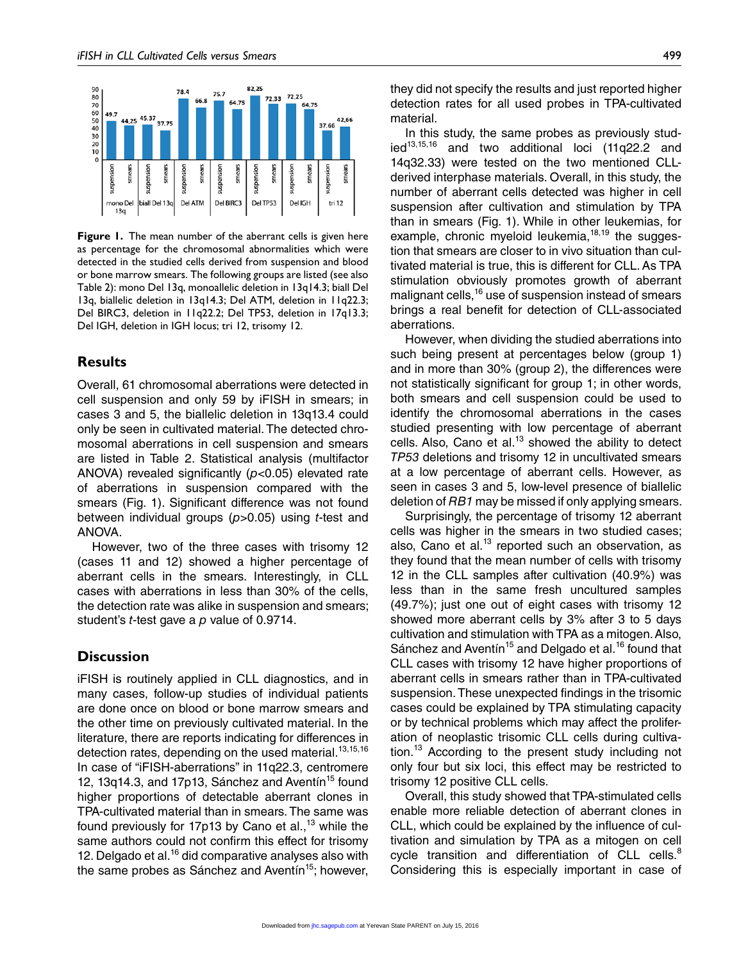

**Figure 1.** The mean number of the aberrant cells is given here as percentage for the chromosomal abnormalities which were detected in the studied cells derived from suspension and blood or bone marrow smears. The following groups are listed (see also Table 2): mono Del 13q, monoallelic deletion in 13q14.3; biall Del 13q, biallelic deletion in 13q14.3; Del ATM, deletion in 11q22.3; Del BIRC3, deletion in 11q22.2; Del TP53, deletion in 17q13.3; Del IGH, deletion in IGH locus; tri 12, trisomy 12.

# **Results**

Overall, 61 chromosomal aberrations were detected in cell suspension and only 59 by iFISH in smears; in cases 3 and 5, the biallelic deletion in 13q13.4 could only be seen in cultivated material. The detected chromosomal aberrations in cell suspension and smears are listed in Table 2. Statistical analysis (multifactor ANOVA) revealed significantly (*p*<0.05) elevated rate of aberrations in suspension compared with the smears (Fig. 1). Significant difference was not found between individual groups (*p*>0.05) using *t*-test and ANOVA.

However, two of the three cases with trisomy 12 (cases 11 and 12) showed a higher percentage of aberrant cells in the smears. Interestingly, in CLL cases with aberrations in less than 30% of the cells, the detection rate was alike in suspension and smears; student's *t*-test gave a *p* value of 0.9714.

# **Discussion**

iFISH is routinely applied in CLL diagnostics, and in many cases, follow-up studies of individual patients are done once on blood or bone marrow smears and the other time on previously cultivated material. In the literature, there are reports indicating for differences in detection rates, depending on the used material.<sup>13,15,16</sup> In case of "iFISH-aberrations" in 11q22.3, centromere 12, 13q14.3, and 17p13, Sánchez and Aventín $15$  found higher proportions of detectable aberrant clones in TPA-cultivated material than in smears. The same was found previously for 17p13 by Cano et al.,<sup>13</sup> while the same authors could not confirm this effect for trisomy 12. Delgado et al.<sup>16</sup> did comparative analyses also with the same probes as Sánchez and Aventín<sup>15</sup>; however,

In this study, the same probes as previously stud $ied^{13,15,16}$  and two additional loci (11q22.2 and 14q32.33) were tested on the two mentioned CLLderived interphase materials. Overall, in this study, the number of aberrant cells detected was higher in cell suspension after cultivation and stimulation by TPA than in smears (Fig. 1). While in other leukemias, for example, chronic myeloid leukemia, $18,19$  the suggestion that smears are closer to in vivo situation than cultivated material is true, this is different for CLL. As TPA stimulation obviously promotes growth of aberrant malignant cells,<sup>16</sup> use of suspension instead of smears brings a real benefit for detection of CLL-associated aberrations.

However, when dividing the studied aberrations into such being present at percentages below (group 1) and in more than 30% (group 2), the differences were not statistically significant for group 1; in other words, both smears and cell suspension could be used to identify the chromosomal aberrations in the cases studied presenting with low percentage of aberrant cells. Also, Cano et al. $13$  showed the ability to detect *TP53* deletions and trisomy 12 in uncultivated smears at a low percentage of aberrant cells. However, as seen in cases 3 and 5, low-level presence of biallelic deletion of *RB1* may be missed if only applying smears.

Surprisingly, the percentage of trisomy 12 aberrant cells was higher in the smears in two studied cases; also, Cano et al. $13$  reported such an observation, as they found that the mean number of cells with trisomy 12 in the CLL samples after cultivation (40.9%) was less than in the same fresh uncultured samples (49.7%); just one out of eight cases with trisomy 12 showed more aberrant cells by 3% after 3 to 5 days cultivation and stimulation with TPA as a mitogen. Also, Sánchez and Aventín<sup>15</sup> and Delgado et al.<sup>16</sup> found that CLL cases with trisomy 12 have higher proportions of aberrant cells in smears rather than in TPA-cultivated suspension. These unexpected findings in the trisomic cases could be explained by TPA stimulating capacity or by technical problems which may affect the proliferation of neoplastic trisomic CLL cells during cultivation.13 According to the present study including not only four but six loci, this effect may be restricted to trisomy 12 positive CLL cells.

Overall, this study showed that TPA-stimulated cells enable more reliable detection of aberrant clones in CLL, which could be explained by the influence of cultivation and simulation by TPA as a mitogen on cell cycle transition and differentiation of CLL cells.<sup>8</sup> Considering this is especially important in case of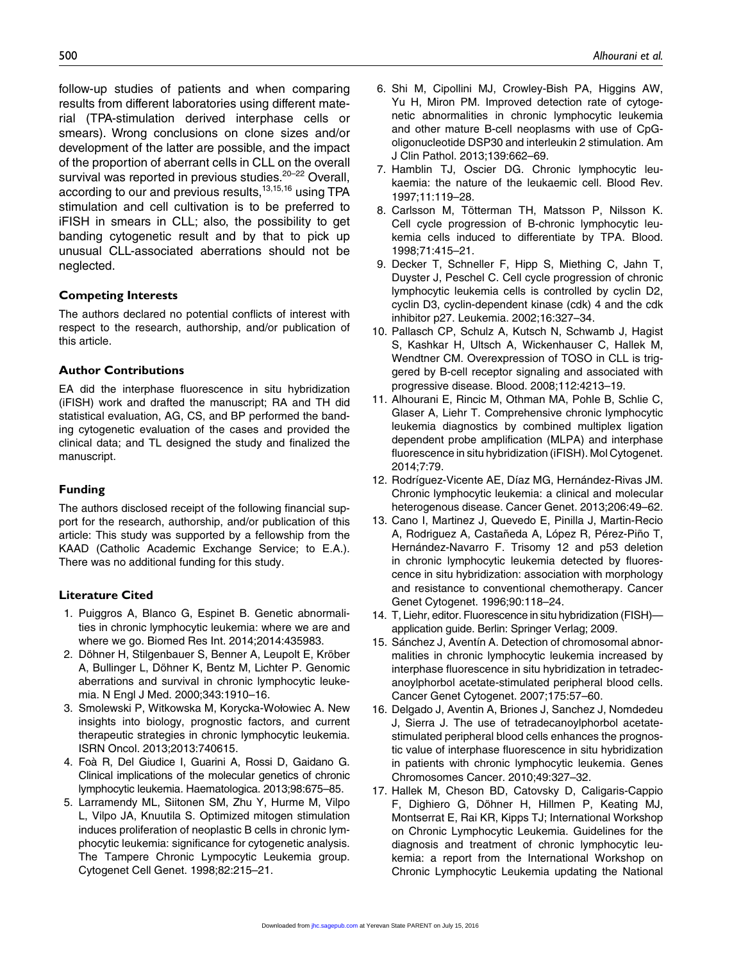follow-up studies of patients and when comparing results from different laboratories using different material (TPA-stimulation derived interphase cells or smears). Wrong conclusions on clone sizes and/or development of the latter are possible, and the impact of the proportion of aberrant cells in CLL on the overall survival was reported in previous studies.<sup>20-22</sup> Overall, according to our and previous results, $13,15,16$  using TPA stimulation and cell cultivation is to be preferred to iFISH in smears in CLL; also, the possibility to get banding cytogenetic result and by that to pick up unusual CLL-associated aberrations should not be neglected.

### **Competing Interests**

The authors declared no potential conflicts of interest with respect to the research, authorship, and/or publication of this article.

### **Author Contributions**

EA did the interphase fluorescence in situ hybridization (iFISH) work and drafted the manuscript; RA and TH did statistical evaluation, AG, CS, and BP performed the banding cytogenetic evaluation of the cases and provided the clinical data; and TL designed the study and finalized the manuscript.

### **Funding**

The authors disclosed receipt of the following financial support for the research, authorship, and/or publication of this article: This study was supported by a fellowship from the KAAD (Catholic Academic Exchange Service; to E.A.). There was no additional funding for this study.

### **Literature Cited**

- 1. Puiggros A, Blanco G, Espinet B. Genetic abnormalities in chronic lymphocytic leukemia: where we are and where we go. Biomed Res Int. 2014;2014:435983.
- 2. Döhner H, Stilgenbauer S, Benner A, Leupolt E, Kröber A, Bullinger L, Döhner K, Bentz M, Lichter P. Genomic aberrations and survival in chronic lymphocytic leukemia. N Engl J Med. 2000;343:1910–16.
- 3. Smolewski P, Witkowska M, Korycka-Wołowiec A. New insights into biology, prognostic factors, and current therapeutic strategies in chronic lymphocytic leukemia. ISRN Oncol. 2013;2013:740615.
- 4. Foà R, Del Giudice I, Guarini A, Rossi D, Gaidano G. Clinical implications of the molecular genetics of chronic lymphocytic leukemia. Haematologica. 2013;98:675–85.
- 5. Larramendy ML, Siitonen SM, Zhu Y, Hurme M, Vilpo L, Vilpo JA, Knuutila S. Optimized mitogen stimulation induces proliferation of neoplastic B cells in chronic lymphocytic leukemia: significance for cytogenetic analysis. The Tampere Chronic Lympocytic Leukemia group. Cytogenet Cell Genet. 1998;82:215–21.
- 6. Shi M, Cipollini MJ, Crowley-Bish PA, Higgins AW, Yu H, Miron PM. Improved detection rate of cytogenetic abnormalities in chronic lymphocytic leukemia and other mature B-cell neoplasms with use of CpGoligonucleotide DSP30 and interleukin 2 stimulation. Am J Clin Pathol. 2013;139:662–69.
- 7. Hamblin TJ, Oscier DG. Chronic lymphocytic leukaemia: the nature of the leukaemic cell. Blood Rev. 1997;11:119–28.
- 8. Carlsson M, Tötterman TH, Matsson P, Nilsson K. Cell cycle progression of B-chronic lymphocytic leukemia cells induced to differentiate by TPA. Blood. 1998;71:415–21.
- 9. Decker T, Schneller F, Hipp S, Miething C, Jahn T, Duyster J, Peschel C. Cell cycle progression of chronic lymphocytic leukemia cells is controlled by cyclin D2, cyclin D3, cyclin-dependent kinase (cdk) 4 and the cdk inhibitor p27. Leukemia. 2002;16:327–34.
- 10. Pallasch CP, Schulz A, Kutsch N, Schwamb J, Hagist S, Kashkar H, Ultsch A, Wickenhauser C, Hallek M, Wendtner CM. Overexpression of TOSO in CLL is triggered by B-cell receptor signaling and associated with progressive disease. Blood. 2008;112:4213–19.
- 11. Alhourani E, Rincic M, Othman MA, Pohle B, Schlie C, Glaser A, Liehr T. Comprehensive chronic lymphocytic leukemia diagnostics by combined multiplex ligation dependent probe amplification (MLPA) and interphase fluorescence in situ hybridization (iFISH). Mol Cytogenet. 2014;7:79.
- 12. Rodríguez-Vicente AE, Díaz MG, Hernández-Rivas JM. Chronic lymphocytic leukemia: a clinical and molecular heterogenous disease. Cancer Genet. 2013;206:49–62.
- 13. Cano I, Martinez J, Quevedo E, Pinilla J, Martin-Recio A, Rodriguez A, Castañeda A, López R, Pérez-Piño T, Hernández-Navarro F. Trisomy 12 and p53 deletion in chronic lymphocytic leukemia detected by fluorescence in situ hybridization: association with morphology and resistance to conventional chemotherapy. Cancer Genet Cytogenet. 1996;90:118–24.
- 14. T, Liehr, editor. Fluorescence in situ hybridization (FISH) application guide. Berlin: Springer Verlag; 2009.
- 15. Sánchez J, Aventín A. Detection of chromosomal abnormalities in chronic lymphocytic leukemia increased by interphase fluorescence in situ hybridization in tetradecanoylphorbol acetate-stimulated peripheral blood cells. Cancer Genet Cytogenet. 2007;175:57–60.
- 16. Delgado J, Aventin A, Briones J, Sanchez J, Nomdedeu J, Sierra J. The use of tetradecanoylphorbol acetatestimulated peripheral blood cells enhances the prognostic value of interphase fluorescence in situ hybridization in patients with chronic lymphocytic leukemia. Genes Chromosomes Cancer. 2010;49:327–32.
- 17. Hallek M, Cheson BD, Catovsky D, Caligaris-Cappio F, Dighiero G, Döhner H, Hillmen P, Keating MJ, Montserrat E, Rai KR, Kipps TJ; International Workshop on Chronic Lymphocytic Leukemia. Guidelines for the diagnosis and treatment of chronic lymphocytic leukemia: a report from the International Workshop on Chronic Lymphocytic Leukemia updating the National